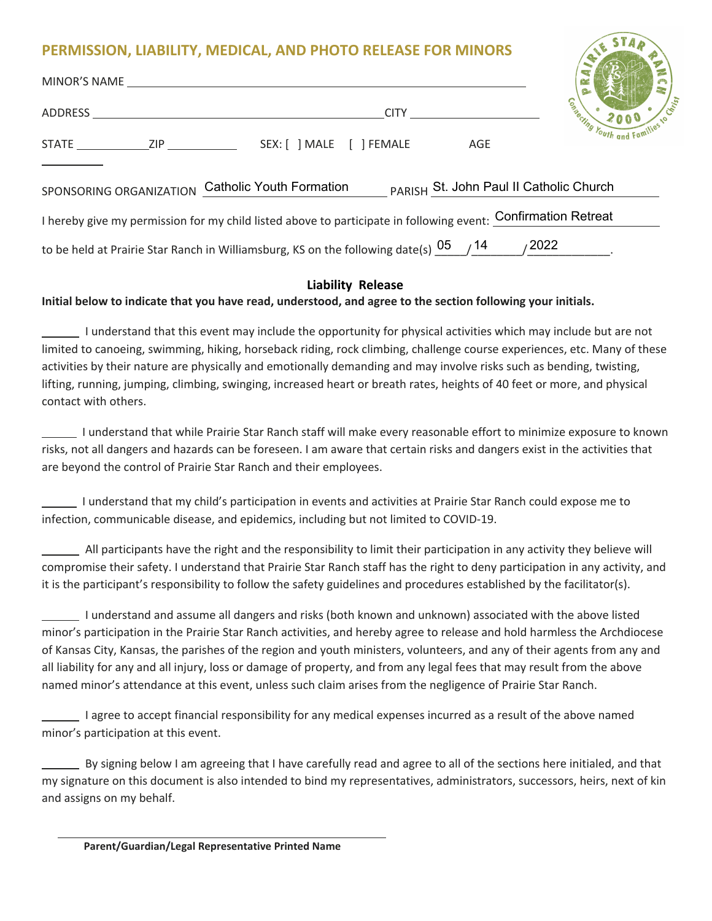## **PERMISSION, LIABILITY, MEDICAL, AND PHOTO RELEASE FOR MINORS**

| MINOR'S NAME                                                                                                  |             |                     |
|---------------------------------------------------------------------------------------------------------------|-------------|---------------------|
|                                                                                                               | <b>CITY</b> | Comparing Youth and |
|                                                                                                               | AGE         |                     |
| Catholic Youth Formation PARISH St. John Paul II Catholic Church<br>SPONSORING ORGANIZATION                   |             |                     |
| I hereby give my permission for my child listed above to participate in following event: Confirmation Retreat |             |                     |
| to be held at Prairie Star Ranch in Williamsburg, KS on the following date(s) $05$ / $14$ / $2022$            |             |                     |

## **Liability Release**

## **Initial below to indicate that you have read, understood, and agree to the section following your initials.**

 I understand that this event may include the opportunity for physical activities which may include but are not limited to canoeing, swimming, hiking, horseback riding, rock climbing, challenge course experiences, etc. Many of these activities by their nature are physically and emotionally demanding and may involve risks such as bending, twisting, lifting, running, jumping, climbing, swinging, increased heart or breath rates, heights of 40 feet or more, and physical contact with others.

 I understand that while Prairie Star Ranch staff will make every reasonable effort to minimize exposure to known risks, not all dangers and hazards can be foreseen. I am aware that certain risks and dangers exist in the activities that are beyond the control of Prairie Star Ranch and their employees.

 I understand that my child's participation in events and activities at Prairie Star Ranch could expose me to infection, communicable disease, and epidemics, including but not limited to COVID-19.

 All participants have the right and the responsibility to limit their participation in any activity they believe will compromise their safety. I understand that Prairie Star Ranch staff has the right to deny participation in any activity, and it is the participant's responsibility to follow the safety guidelines and procedures established by the facilitator(s).

 I understand and assume all dangers and risks (both known and unknown) associated with the above listed minor's participation in the Prairie Star Ranch activities, and hereby agree to release and hold harmless the Archdiocese of Kansas City, Kansas, the parishes of the region and youth ministers, volunteers, and any of their agents from any and all liability for any and all injury, loss or damage of property, and from any legal fees that may result from the above named minor's attendance at this event, unless such claim arises from the negligence of Prairie Star Ranch.

I agree to accept financial responsibility for any medical expenses incurred as a result of the above named minor's participation at this event.

 By signing below I am agreeing that I have carefully read and agree to all of the sections here initialed, and that my signature on this document is also intended to bind my representatives, administrators, successors, heirs, next of kin and assigns on my behalf.